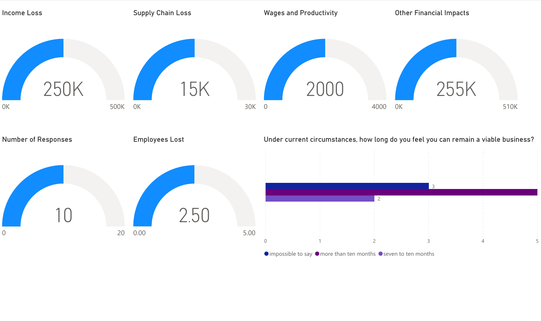

 $\bullet$  impossible to say  $\bullet$  more than ten months  $\bullet$  seven to ten months